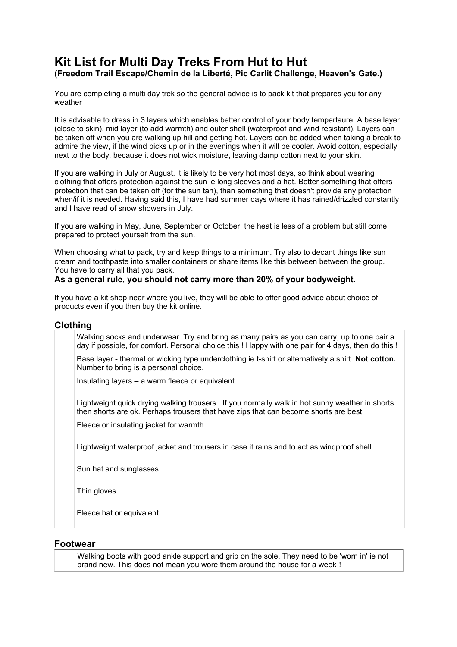# **Kit List for Multi Day Treks From Hut to Hut**

**(Freedom Trail Escape/Chemin de la Liberté, Pic Carlit Challenge, Heaven's Gate.)** 

You are completing a multi day trek so the general advice is to pack kit that prepares you for any weather !

It is advisable to dress in 3 layers which enables better control of your body tempertaure. A base layer (close to skin), mid layer (to add warmth) and outer shell (waterproof and wind resistant). Layers can be taken off when you are walking up hill and getting hot. Layers can be added when taking a break to admire the view, if the wind picks up or in the evenings when it will be cooler. Avoid cotton, especially next to the body, because it does not wick moisture, leaving damp cotton next to your skin.

If you are walking in July or August, it is likely to be very hot most days, so think about wearing clothing that offers protection against the sun ie long sleeves and a hat. Better something that offers protection that can be taken off (for the sun tan), than something that doesn't provide any protection when/if it is needed. Having said this, I have had summer days where it has rained/drizzled constantly and I have read of snow showers in July.

If you are walking in May, June, September or October, the heat is less of a problem but still come prepared to protect yourself from the sun.

When choosing what to pack, try and keep things to a minimum. Try also to decant things like sun cream and toothpaste into smaller containers or share items like this between between the group. You have to carry all that you pack.

#### **As a general rule, you should not carry more than 20% of your bodyweight.**

If you have a kit shop near where you live, they will be able to offer good advice about choice of products even if you then buy the kit online.

#### **Clothing**

| Walking socks and underwear. Try and bring as many pairs as you can carry, up to one pair a<br>day if possible, for comfort. Personal choice this ! Happy with one pair for 4 days, then do this ! |
|----------------------------------------------------------------------------------------------------------------------------------------------------------------------------------------------------|
| Base layer - thermal or wicking type underclothing ie t-shirt or alternatively a shirt. Not cotton.<br>Number to bring is a personal choice.                                                       |
| Insulating layers – a warm fleece or equivalent                                                                                                                                                    |
| Lightweight quick drying walking trousers. If you normally walk in hot sunny weather in shorts<br>then shorts are ok. Perhaps trousers that have zips that can become shorts are best.             |
| Fleece or insulating jacket for warmth.                                                                                                                                                            |
| Lightweight waterproof jacket and trousers in case it rains and to act as windproof shell.                                                                                                         |
| Sun hat and sunglasses.                                                                                                                                                                            |
| Thin gloves.                                                                                                                                                                                       |
| Fleece hat or equivalent.                                                                                                                                                                          |
|                                                                                                                                                                                                    |

#### **Footwear**

Walking boots with good ankle support and grip on the sole. They need to be 'worn in' ie not brand new. This does not mean you wore them around the house for a week !